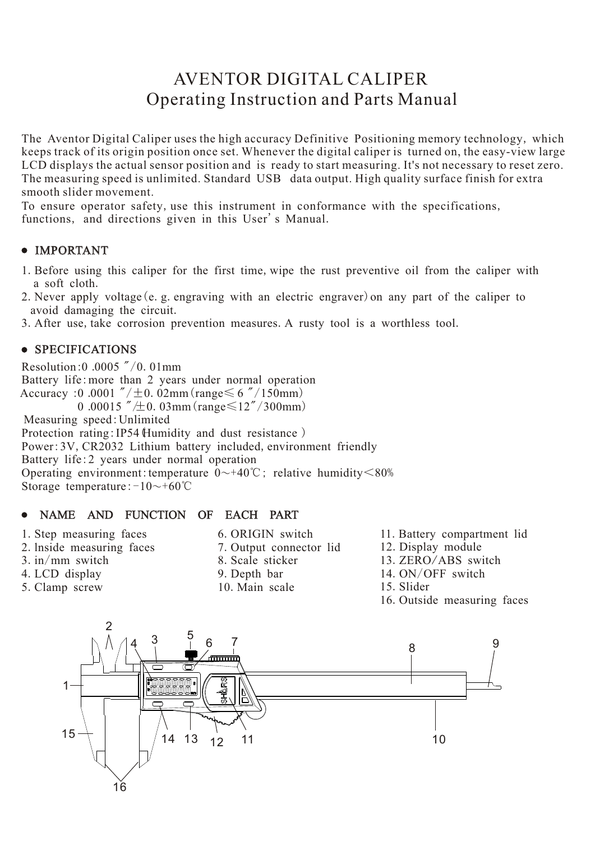# AVENTOR DIGITAL CALIPER Operating Instruction and Parts Manual

The Aventor Digital Caliper uses the high accuracy Definitive Positioning memory technology, which keeps track of its origin position once set. Whenever the digital caliper is turned on, the easy-view large LCD displays the actual sensor position and is ready to start measuring. It's not necessary to reset zero. The measuring speed is unlimited. Standard USB data output. High quality surface finish for extra smooth slider movement.

To ensure operator safety, use this instrument in conformance with the specifications, functions, and directions given in this User's Manual.

# IMPORTANT

- 1.Before using this caliper for the first time,wipe the rust preventive oil from the caliper with a soft cloth.
- 2. Never apply voltage (e. g. engraving with an electric engraver) on any part of the caliper to avoid damaging the circuit.
- 3. After use, take corrosion prevention measures. A rusty tool is a worthless tool.

# • SPECIFICATIONS

Resolution:0 .0005 "/0.01mm Battery life:more than 2 years under normal operation Accuracy :0 .0001  $\sqrt{\pm 0.02 \text{mm}}$  (range $\leq 6 \sqrt{\sqrt{150 \text{mm}}}$ ) 0.00015  $''/\pm$ 0.03mm (range $\leq 12''/300$ mm) Measuring speed:Unlimited Protection rating: IP54 (Humidity and dust resistance) Power: 3V, CR2032 Lithium battery included, environment friendly Battery life:2 years under normal operation Operating environment:temperature  $0 \rightarrow 40^{\circ}$ C; relative humidity  $\leq 80\%$ Storage temperature: $-10$ ~+60°C

#### $\bullet$ NAME AND FUNCTION OF EACH PART

- 1.Step measuring faces
- 2.lnside measuring faces
- $3.$  in/mm switch
- 4.LCD display
- 5.Clamp screw
- 6.ORIGIN switch
- 7.Output connector lid
- 8.Scale sticker
- 9.Depth bar
- 10.Main scale
- 11.Battery compartment lid
- 12.Display module
- 13.ZERO/ABS switch
- 14.ON/OFF switch
- 15.Slider
- 16.Outside measuring faces